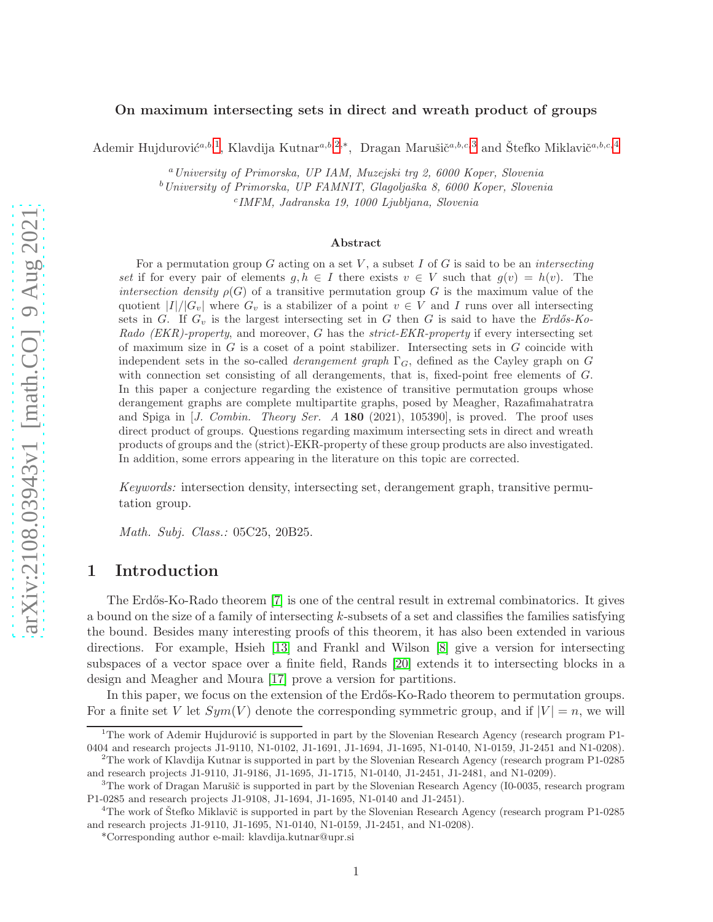### On maximum intersecting sets in direct and wreath product of groups

Ademir Hujdurović<sup>a,b,1</sup>, Klavdija Kutnar<sup>a,b,2,\*</sup>, Dragan Marušič<sup>a,b,c,3</sup> and Štefko Miklavič<sup>a,b,c,[4](#page-0-0)</sup>

<sup>a</sup>University of Primorska, UP IAM, Muzejski trg 2, 6000 Koper, Slovenia

 $b$ University of Primorska, UP FAMNIT, Glagoljaška 8, 6000 Koper, Slovenia

c IMFM, Jadranska 19, 1000 Ljubljana, Slovenia

#### Abstract

For a permutation group G acting on a set V, a subset I of G is said to be an *intersecting* set if for every pair of elements  $g, h \in I$  there exists  $v \in V$  such that  $g(v) = h(v)$ . The intersection density  $\rho(G)$  of a transitive permutation group G is the maximum value of the quotient  $|I|/|G_v|$  where  $G_v$  is a stabilizer of a point  $v \in V$  and I runs over all intersecting sets in G. If  $G_v$  is the largest intersecting set in G then G is said to have the Erdős-Ko-Rado (EKR)-property, and moreover, G has the strict-EKR-property if every intersecting set of maximum size in  $G$  is a coset of a point stabilizer. Intersecting sets in  $G$  coincide with independent sets in the so-called *derangement graph*  $\Gamma_G$ , defined as the Cayley graph on G with connection set consisting of all derangements, that is, fixed-point free elements of G. In this paper a conjecture regarding the existence of transitive permutation groups whose derangement graphs are complete multipartite graphs, posed by Meagher, Razafimahatratra and Spiga in  $J.$  Combin. Theory Ser. A 180 (2021), 105390, is proved. The proof uses direct product of groups. Questions regarding maximum intersecting sets in direct and wreath products of groups and the (strict)-EKR-property of these group products are also investigated. In addition, some errors appearing in the literature on this topic are corrected.

Keywords: intersection density, intersecting set, derangement graph, transitive permutation group.

Math. Subj. Class.: 05C25, 20B25.

### 1 Introduction

The Erdős-Ko-Rado theorem [\[7\]](#page-12-0) is one of the central result in extremal combinatorics. It gives a bound on the size of a family of intersecting k-subsets of a set and classifies the families satisfying the bound. Besides many interesting proofs of this theorem, it has also been extended in various directions. For example, Hsieh [\[13\]](#page-12-1) and Frankl and Wilson [\[8\]](#page-12-2) give a version for intersecting subspaces of a vector space over a finite field, Rands [\[20\]](#page-12-3) extends it to intersecting blocks in a design and Meagher and Moura [\[17\]](#page-12-4) prove a version for partitions.

In this paper, we focus on the extension of the Erdős-Ko-Rado theorem to permutation groups. For a finite set V let  $Sym(V)$  denote the corresponding symmetric group, and if  $|V| = n$ , we will

<sup>&</sup>lt;sup>1</sup>The work of Ademir Hujdurović is supported in part by the Slovenian Research Agency (research program P1-0404 and research projects J1-9110, N1-0102, J1-1691, J1-1694, J1-1695, N1-0140, N1-0159, J1-2451 and N1-0208).

<sup>2</sup>The work of Klavdija Kutnar is supported in part by the Slovenian Research Agency (research program P1-0285 and research projects J1-9110, J1-9186, J1-1695, J1-1715, N1-0140, J1-2451, J1-2481, and N1-0209).

 $3$ The work of Dragan Marušič is supported in part by the Slovenian Research Agency (I0-0035, research program P1-0285 and research projects J1-9108, J1-1694, J1-1695, N1-0140 and J1-2451).

<sup>&</sup>lt;sup>4</sup>The work of Stefko Miklavič is supported in part by the Slovenian Research Agency (research program P1-0285) and research projects J1-9110, J1-1695, N1-0140, N1-0159, J1-2451, and N1-0208).

<span id="page-0-0"></span><sup>\*</sup>Corresponding author e-mail: klavdija.kutnar@upr.si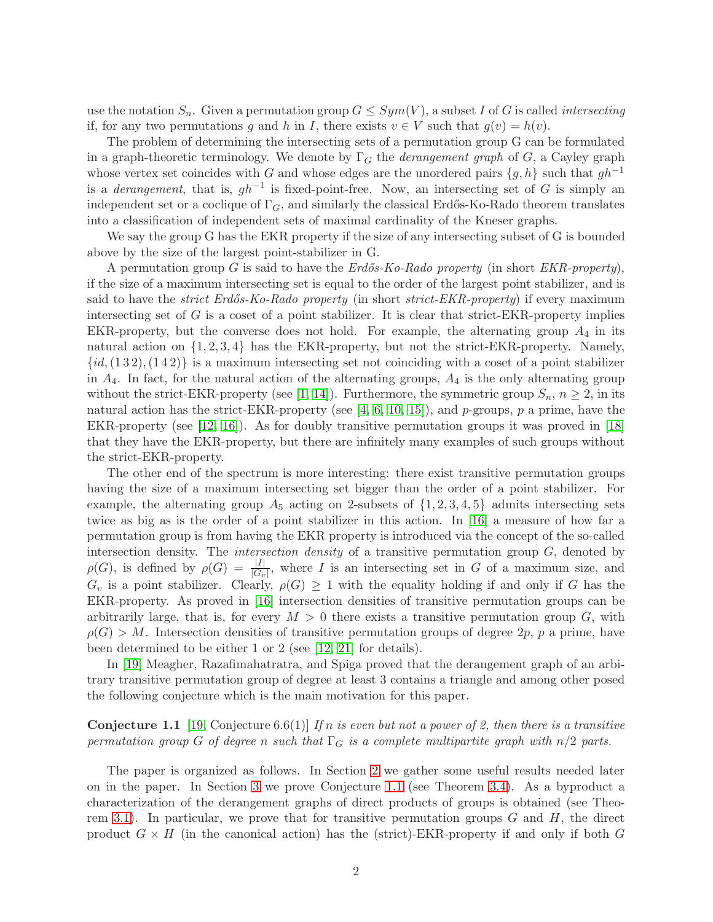use the notation  $S_n$ . Given a permutation group  $G \leq Sym(V)$ , a subset I of G is called *intersecting* if, for any two permutations g and h in I, there exists  $v \in V$  such that  $g(v) = h(v)$ .

The problem of determining the intersecting sets of a permutation group G can be formulated in a graph-theoretic terminology. We denote by  $\Gamma_G$  the *derangement graph* of G, a Cayley graph whose vertex set coincides with G and whose edges are the unordered pairs  $\{g, h\}$  such that  $gh^{-1}$ is a *derangement*, that is,  $gh^{-1}$  is fixed-point-free. Now, an intersecting set of G is simply an independent set or a coclique of  $\Gamma_G$ , and similarly the classical Erdős-Ko-Rado theorem translates into a classification of independent sets of maximal cardinality of the Kneser graphs.

We say the group G has the EKR property if the size of any intersecting subset of G is bounded above by the size of the largest point-stabilizer in G.

A permutation group G is said to have the  $Erd\delta s-Ko-Rado$  property (in short  $EKR\text{-}property$ ), if the size of a maximum intersecting set is equal to the order of the largest point stabilizer, and is said to have the *strict Erdős-Ko-Rado property* (in short *strict-EKR-property*) if every maximum intersecting set of  $G$  is a coset of a point stabilizer. It is clear that strict-EKR-property implies EKR-property, but the converse does not hold. For example, the alternating group  $A_4$  in its natural action on  $\{1, 2, 3, 4\}$  has the EKR-property, but not the strict-EKR-property. Namely,  $\{id,(1\,3\,2),(1\,4\,2)\}\;$  is a maximum intersecting set not coinciding with a coset of a point stabilizer in  $A_4$ . In fact, for the natural action of the alternating groups,  $A_4$  is the only alternating group without the strict-EKR-property (see [\[1,](#page-11-0) [14\]](#page-12-5)). Furthermore, the symmetric group  $S_n$ ,  $n \geq 2$ , in its natural action has the strict-EKR-property (see [\[4,](#page-12-6) [6,](#page-12-7) [10,](#page-12-8) [15\]](#page-12-9)), and p-groups, p a prime, have the EKR-property (see [\[12,](#page-12-10) [16\]](#page-12-11)). As for doubly transitive permutation groups it was proved in [\[18\]](#page-12-12) that they have the EKR-property, but there are infinitely many examples of such groups without the strict-EKR-property.

The other end of the spectrum is more interesting: there exist transitive permutation groups having the size of a maximum intersecting set bigger than the order of a point stabilizer. For example, the alternating group  $A_5$  acting on 2-subsets of  $\{1, 2, 3, 4, 5\}$  admits intersecting sets twice as big as is the order of a point stabilizer in this action. In [\[16\]](#page-12-11) a measure of how far a permutation group is from having the EKR property is introduced via the concept of the so-called intersection density. The *intersection density* of a transitive permutation group  $G$ , denoted by  $\rho(G)$ , is defined by  $\rho(G) = \frac{|I|}{|G_v|}$ , where I is an intersecting set in G of a maximum size, and  $G_v$  is a point stabilizer. Clearly,  $\rho(G) \geq 1$  with the equality holding if and only if G has the EKR-property. As proved in [\[16\]](#page-12-11) intersection densities of transitive permutation groups can be arbitrarily large, that is, for every  $M > 0$  there exists a transitive permutation group G, with  $\rho(G) > M$ . Intersection densities of transitive permutation groups of degree 2p, p a prime, have been determined to be either 1 or 2 (see [\[12,](#page-12-10) [21\]](#page-12-13) for details).

In [\[19\]](#page-12-14) Meagher, Razafimahatratra, and Spiga proved that the derangement graph of an arbitrary transitive permutation group of degree at least 3 contains a triangle and among other posed the following conjecture which is the main motivation for this paper.

<span id="page-1-0"></span>**Conjecture 1.1** [\[19,](#page-12-14) Conjecture 6.6(1)] If n is even but not a power of 2, then there is a transitive permutation group G of degree n such that  $\Gamma_G$  is a complete multipartite graph with  $n/2$  parts.

The paper is organized as follows. In Section [2](#page-2-0) we gather some useful results needed later on in the paper. In Section [3](#page-3-0) we prove Conjecture [1.1](#page-1-0) (see Theorem [3.4\)](#page-4-0). As a byproduct a characterization of the derangement graphs of direct products of groups is obtained (see Theo-rem [3.1\)](#page-4-1). In particular, we prove that for transitive permutation groups  $G$  and  $H$ , the direct product  $G \times H$  (in the canonical action) has the (strict)-EKR-property if and only if both G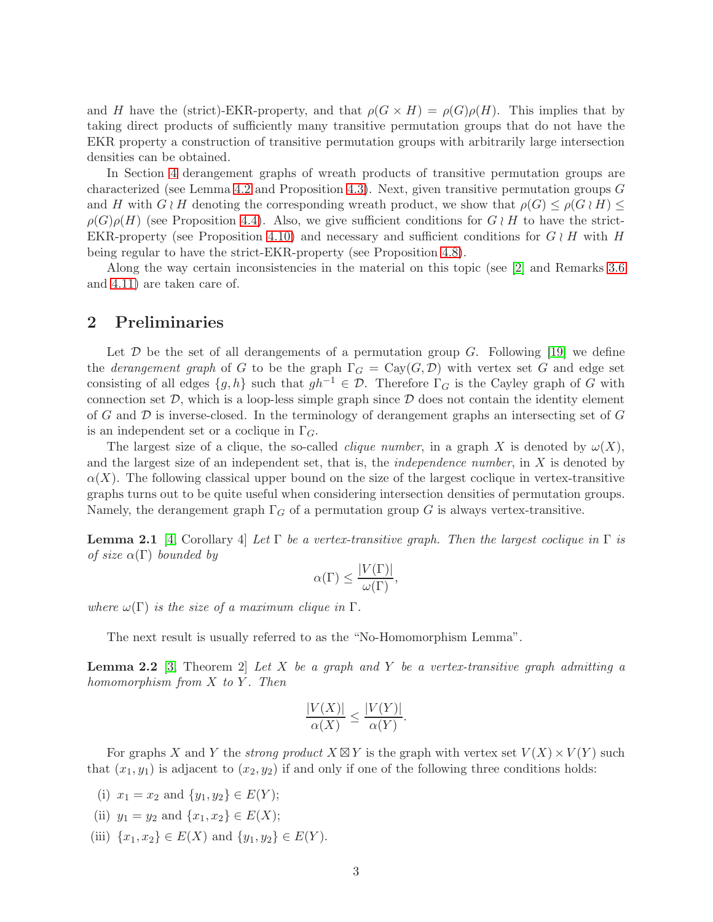and H have the (strict)-EKR-property, and that  $\rho(G \times H) = \rho(G)\rho(H)$ . This implies that by taking direct products of sufficiently many transitive permutation groups that do not have the EKR property a construction of transitive permutation groups with arbitrarily large intersection densities can be obtained.

In Section [4](#page-7-0) derangement graphs of wreath products of transitive permutation groups are characterized (see Lemma [4.2](#page-7-1) and Proposition [4.3\)](#page-8-0). Next, given transitive permutation groups  $G$ and H with  $G \wr H$  denoting the corresponding wreath product, we show that  $\rho(G) \leq \rho(G \wr H) \leq$  $\rho(G)\rho(H)$  (see Proposition [4.4\)](#page-8-1). Also, we give sufficient conditions for  $G \wr H$  to have the strict-EKR-property (see Proposition [4.10\)](#page-9-0) and necessary and sufficient conditions for  $G \wr H$  with H being regular to have the strict-EKR-property (see Proposition [4.8\)](#page-9-1).

Along the way certain inconsistencies in the material on this topic (see [\[2\]](#page-12-15) and Remarks [3.6](#page-5-0) and [4.11\)](#page-10-0) are taken care of.

# <span id="page-2-0"></span>2 Preliminaries

Let  $\mathcal D$  be the set of all derangements of a permutation group  $G$ . Following [\[19\]](#page-12-14) we define the *derangement graph* of G to be the graph  $\Gamma_G = \text{Cay}(G, \mathcal{D})$  with vertex set G and edge set consisting of all edges  $\{g, h\}$  such that  $gh^{-1} \in \mathcal{D}$ . Therefore  $\Gamma_G$  is the Cayley graph of G with connection set  $D$ , which is a loop-less simple graph since  $D$  does not contain the identity element of G and  $\mathcal D$  is inverse-closed. In the terminology of derangement graphs an intersecting set of G is an independent set or a coclique in  $\Gamma_G$ .

The largest size of a clique, the so-called *clique number*, in a graph X is denoted by  $\omega(X)$ , and the largest size of an independent set, that is, the *independence number*, in  $X$  is denoted by  $\alpha(X)$ . The following classical upper bound on the size of the largest coclique in vertex-transitive graphs turns out to be quite useful when considering intersection densities of permutation groups. Namely, the derangement graph  $\Gamma_G$  of a permutation group G is always vertex-transitive.

**Lemma 2.1** [\[4,](#page-12-6) Corollary 4] Let  $\Gamma$  be a vertex-transitive graph. Then the largest coclique in  $\Gamma$  is of size  $\alpha(\Gamma)$  bounded by

$$
\alpha(\Gamma) \le \frac{|V(\Gamma)|}{\omega(\Gamma)},
$$

where  $\omega(\Gamma)$  is the size of a maximum clique in  $\Gamma$ .

<span id="page-2-1"></span>The next result is usually referred to as the "No-Homomorphism Lemma".

**Lemma 2.2** [\[3,](#page-12-16) Theorem 2] Let X be a graph and Y be a vertex-transitive graph admitting a homomorphism from  $X$  to  $Y$ . Then

$$
\frac{|V(X)|}{\alpha(X)} \le \frac{|V(Y)|}{\alpha(Y)}.
$$

For graphs X and Y the *strong product*  $X \boxtimes Y$  is the graph with vertex set  $V(X) \times V(Y)$  such that  $(x_1, y_1)$  is adjacent to  $(x_2, y_2)$  if and only if one of the following three conditions holds:

- (i)  $x_1 = x_2$  and  $\{y_1, y_2\} \in E(Y);$
- (ii)  $y_1 = y_2$  and  $\{x_1, x_2\} \in E(X);$
- (iii)  $\{x_1, x_2\} \in E(X)$  and  $\{y_1, y_2\} \in E(Y)$ .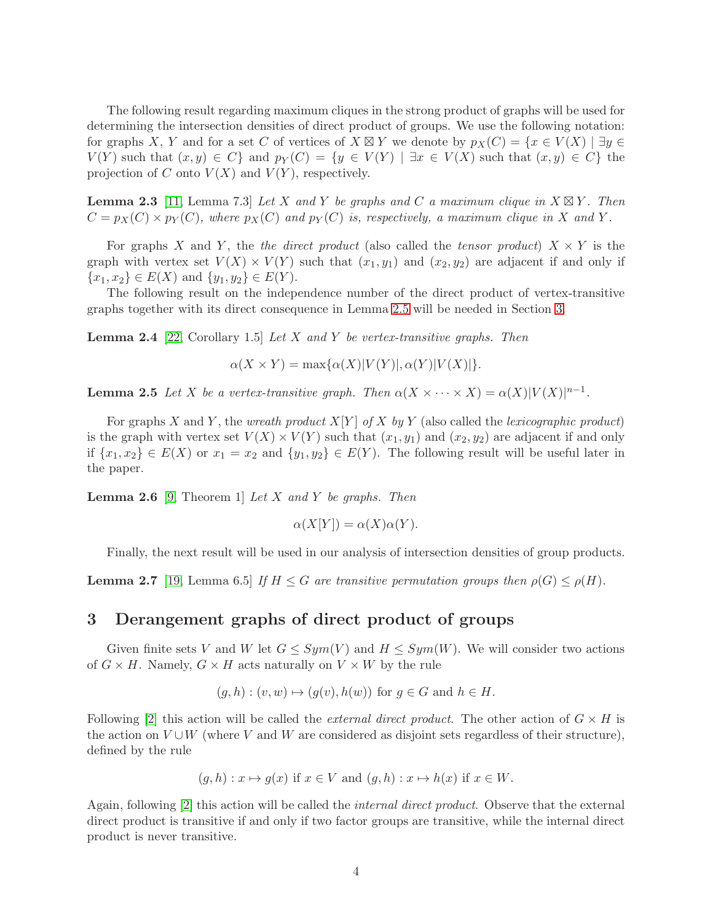The following result regarding maximum cliques in the strong product of graphs will be used for determining the intersection densities of direct product of groups. We use the following notation: for graphs X, Y and for a set C of vertices of  $X \boxtimes Y$  we denote by  $p_X(C) = \{x \in V(X) \mid \exists y \in Y \}$  $V(Y)$  such that  $(x, y) \in C$  and  $p_Y(C) = \{y \in V(Y) \mid \exists x \in V(X) \text{ such that } (x, y) \in C\}$  the projection of C onto  $V(X)$  and  $V(Y)$ , respectively.

<span id="page-3-2"></span>**Lemma 2.3** [\[11,](#page-12-17) Lemma 7.3] Let X and Y be graphs and C a maximum clique in  $X \boxtimes Y$ . Then  $C = p_X(C) \times p_Y(C)$ , where  $p_X(C)$  and  $p_Y(C)$  is, respectively, a maximum clique in X and Y.

For graphs X and Y, the the direct product (also called the tensor product)  $X \times Y$  is the graph with vertex set  $V(X) \times V(Y)$  such that  $(x_1, y_1)$  and  $(x_2, y_2)$  are adjacent if and only if  $\{x_1, x_2\} \in E(X)$  and  $\{y_1, y_2\} \in E(Y)$ .

The following result on the independence number of the direct product of vertex-transitive graphs together with its direct consequence in Lemma [2.5](#page-3-1) will be needed in Section [3.](#page-3-0)

**Lemma 2.4** [\[22,](#page-12-18) Corollary 1.5] Let X and Y be vertex-transitive graphs. Then

 $\alpha(X \times Y) = \max{\alpha(X)|V(Y)|, \alpha(Y)|V(X)|}.$ 

<span id="page-3-1"></span>**Lemma 2.5** Let X be a vertex-transitive graph. Then  $\alpha(X \times \cdots \times X) = \alpha(X)|V(X)|^{n-1}$ .

For graphs X and Y, the wreath product  $X[Y]$  of X by Y (also called the lexicographic product) is the graph with vertex set  $V(X) \times V(Y)$  such that  $(x_1, y_1)$  and  $(x_2, y_2)$  are adjacent if and only if  $\{x_1, x_2\} \in E(X)$  or  $x_1 = x_2$  and  $\{y_1, y_2\} \in E(Y)$ . The following result will be useful later in the paper.

<span id="page-3-3"></span>**Lemma 2.6** [\[9,](#page-12-19) Theorem 1] Let X and Y be graphs. Then

$$
\alpha(X[Y]) = \alpha(X)\alpha(Y).
$$

Finally, the next result will be used in our analysis of intersection densities of group products.

**Lemma 2.7** [\[19,](#page-12-14) Lemma 6.5] If  $H \leq G$  are transitive permutation groups then  $\rho(G) \leq \rho(H)$ .

## <span id="page-3-0"></span>3 Derangement graphs of direct product of groups

Given finite sets V and W let  $G \le Sym(V)$  and  $H \le Sym(W)$ . We will consider two actions of  $G \times H$ . Namely,  $G \times H$  acts naturally on  $V \times W$  by the rule

$$
(g, h) : (v, w) \mapsto (g(v), h(w))
$$
 for  $g \in G$  and  $h \in H$ .

Following [\[2\]](#page-12-15) this action will be called the *external direct product*. The other action of  $G \times H$  is the action on  $V \cup W$  (where V and W are considered as disjoint sets regardless of their structure), defined by the rule

$$
(g,h): x \mapsto g(x)
$$
 if  $x \in V$  and  $(g,h): x \mapsto h(x)$  if  $x \in W$ .

Again, following [\[2\]](#page-12-15) this action will be called the *internal direct product*. Observe that the external direct product is transitive if and only if two factor groups are transitive, while the internal direct product is never transitive.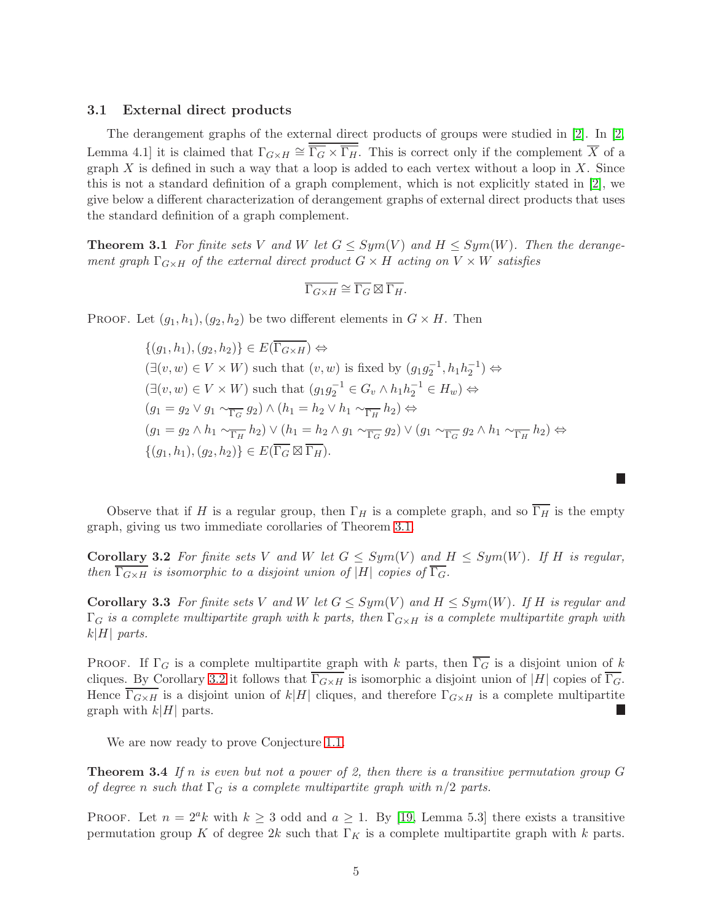### 3.1 External direct products

The derangement graphs of the external direct products of groups were studied in [\[2\]](#page-12-15). In [\[2,](#page-12-15) Lemma 4.1] it is claimed that  $\Gamma_{G\times H} \cong \overline{\Gamma_G \times \Gamma_H}$ . This is correct only if the complement  $\overline{X}$  of a graph X is defined in such a way that a loop is added to each vertex without a loop in X. Since this is not a standard definition of a graph complement, which is not explicitly stated in [\[2\]](#page-12-15), we give below a different characterization of derangement graphs of external direct products that uses the standard definition of a graph complement.

<span id="page-4-1"></span>**Theorem 3.1** For finite sets V and W let  $G \le Sym(V)$  and  $H \le Sym(W)$ . Then the derangement graph  $\Gamma_{G\times H}$  of the external direct product  $G\times H$  acting on  $V\times W$  satisfies

$$
\overline{\Gamma_{G\times H}}\cong \overline{\Gamma_G}\boxtimes \overline{\Gamma_H}.
$$

PROOF. Let  $(g_1, h_1), (g_2, h_2)$  be two different elements in  $G \times H$ . Then

 $\{(q_1, h_1), (q_2, h_2)\}\in E(\overline{\Gamma_{G\times H}}) \Leftrightarrow$  $(\exists (v, w) \in V \times W)$  such that  $(v, w)$  is fixed by  $(g_1 g_2^{-1}, h_1 h_2^{-1}) \Leftrightarrow$  $(\exists (v, w) \in V \times W)$  such that  $(g_1 g_2^{-1} \in G_v \wedge h_1 h_2^{-1} \in H_w) \Leftrightarrow$  $(g_1 = g_2 \vee g_1 \sim_{\overline{\Gamma_G}} g_2) \wedge (h_1 = h_2 \vee h_1 \sim_{\overline{\Gamma_H}} h_2) \Leftrightarrow$  $(g_1 = g_2 \wedge h_1 \sim_{\overline{\Gamma_H}} h_2) \vee (h_1 = h_2 \wedge g_1 \sim_{\overline{\Gamma_G}} g_2) \vee (g_1 \sim_{\overline{\Gamma_G}} g_2 \wedge h_1 \sim_{\overline{\Gamma_H}} h_2) \Leftrightarrow$  $\{(q_1, h_1), (q_2, h_2)\}\in E(\overline{\Gamma_G \boxtimes \Gamma_H}).$ 

<span id="page-4-2"></span>Observe that if H is a regular group, then  $\Gamma_H$  is a complete graph, and so  $\overline{\Gamma_H}$  is the empty graph, giving us two immediate corollaries of Theorem [3.1.](#page-4-1)

г

**Corollary 3.2** For finite sets V and W let  $G \le Sym(V)$  and  $H \le Sym(W)$ . If H is regular, then  $\overline{\Gamma_{G\times H}}$  is isomorphic to a disjoint union of  $\overline{|H|}$  copies of  $\overline{\Gamma_G}$ .

<span id="page-4-3"></span>Corollary 3.3 For finite sets V and W let  $G \le Sym(V)$  and  $H \le Sym(W)$ . If H is regular and  $\Gamma_G$  is a complete multipartite graph with k parts, then  $\Gamma_{G\times H}$  is a complete multipartite graph with  $k|H|$  parts.

PROOF. If  $\Gamma_G$  is a complete multipartite graph with k parts, then  $\overline{\Gamma_G}$  is a disjoint union of k cliques. By Corollary [3.2](#page-4-2) it follows that  $\overline{\Gamma_{G\times H}}$  is isomorphic a disjoint union of |H| copies of  $\overline{\Gamma_G}$ . Hence  $\Gamma_{G\times H}$  is a disjoint union of k|H| cliques, and therefore  $\Gamma_{G\times H}$  is a complete multipartite graph with  $k|H|$  parts. П

<span id="page-4-0"></span>We are now ready to prove Conjecture [1.1.](#page-1-0)

**Theorem 3.4** If n is even but not a power of 2, then there is a transitive permutation group G of degree n such that  $\Gamma_G$  is a complete multipartite graph with  $n/2$  parts.

PROOF. Let  $n = 2^ak$  with  $k \geq 3$  odd and  $a \geq 1$ . By [\[19,](#page-12-14) Lemma 5.3] there exists a transitive permutation group K of degree  $2k$  such that  $\Gamma_K$  is a complete multipartite graph with k parts.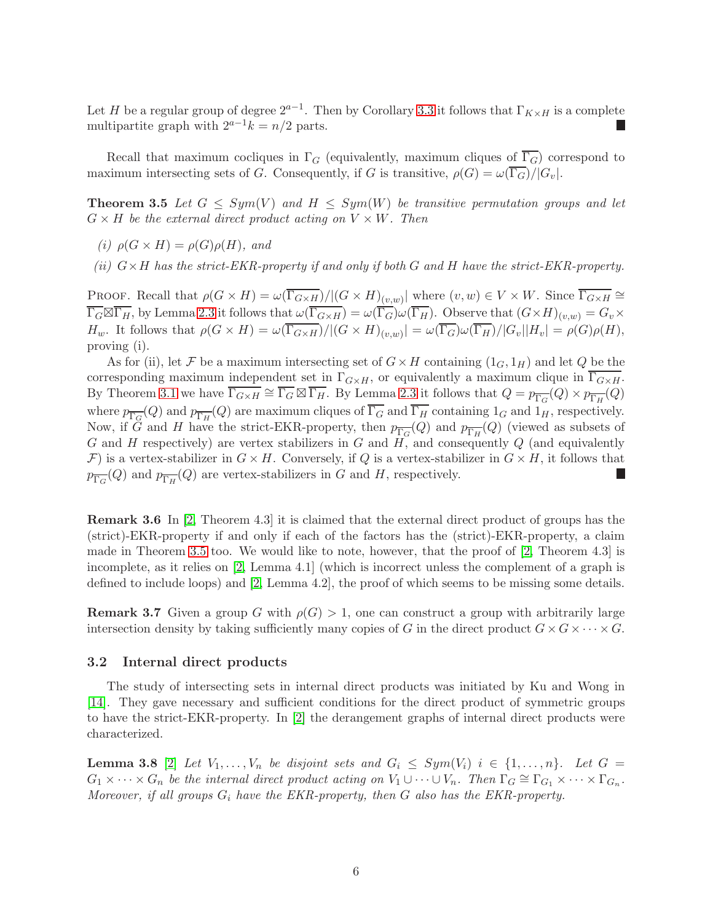Let H be a regular group of degree  $2^{a-1}$ . Then by Corollary [3.3](#page-4-3) it follows that  $\Gamma_{K\times H}$  is a complete multipartite graph with  $2^{a-1}k = n/2$  parts.

<span id="page-5-1"></span>Recall that maximum cocliques in  $\Gamma_G$  (equivalently, maximum cliques of  $\overline{\Gamma}_G$ ) correspond to maximum intersecting sets of G. Consequently, if G is transitive,  $\rho(G) = \omega(\overline{\Gamma_G})/|G_v|$ .

**Theorem 3.5** Let  $G \le Sym(V)$  and  $H \le Sym(W)$  be transitive permutation groups and let  $G \times H$  be the external direct product acting on  $V \times W$ . Then

- (i)  $\rho(G \times H) = \rho(G)\rho(H)$ , and
- (ii)  $G \times H$  has the strict-EKR-property if and only if both G and H have the strict-EKR-property.

PROOF. Recall that  $\rho(G \times H) = \omega(\overline{\Gamma_{G \times H}})/|(G \times H)_{(v,w)}|$  where  $(v, w) \in V \times W$ . Since  $\overline{\Gamma_{G \times H}} \cong$  $\overline{\Gamma_G \boxtimes \Gamma_H}$ , by Lemma [2.3](#page-3-2) it follows that  $\omega(\overline{\Gamma_{G\times H}}) = \omega(\overline{\Gamma_G}) \omega(\overline{\Gamma_H})$ . Observe that  $(G\times H)_{(v,w)} = G_v \times$ H<sub>w</sub>. It follows that  $\rho(G \times H) = \omega(\Gamma_{G \times H})/|(G \times H)_{(v,w)}| = \omega(\Gamma_G)\omega(\Gamma_H)/|G_v||H_v| = \rho(G)\rho(H),$ proving (i).

As for (ii), let F be a maximum intersecting set of  $G \times H$  containing  $(1_G, 1_H)$  and let Q be the corresponding maximum independent set in  $\Gamma_{G\times H}$ , or equivalently a maximum clique in  $\Gamma_{G\times H}$ . By Theorem [3.1](#page-4-1) we have  $\overline{\Gamma_{G\times H}} \cong \overline{\Gamma_G} \boxtimes \overline{\Gamma_H}$ . By Lemma [2.3](#page-3-2) it follows that  $Q = p_{\overline{\Gamma_G}}(Q) \times p_{\overline{\Gamma_H}}(Q)$ where  $p_{\overline{\Gamma_G}}(Q)$  and  $p_{\overline{\Gamma_H}}(Q)$  are maximum cliques of  $\Gamma_G$  and  $\Gamma_H$  containing  $1_G$  and  $1_H$ , respectively. Now, if G and H have the strict-EKR-property, then  $p_{\overline{\Gamma_G}}(Q)$  and  $p_{\overline{\Gamma_H}}(Q)$  (viewed as subsets of G and H respectively) are vertex stabilizers in G and  $H$ , and consequently Q (and equivalently F) is a vertex-stabilizer in  $G \times H$ . Conversely, if Q is a vertex-stabilizer in  $G \times H$ , it follows that  $p_{\overline{\Gamma_G}}(Q)$  and  $p_{\overline{\Gamma_H}}(Q)$  are vertex-stabilizers in G and H, respectively.

<span id="page-5-0"></span>Remark 3.6 In [\[2,](#page-12-15) Theorem 4.3] it is claimed that the external direct product of groups has the (strict)-EKR-property if and only if each of the factors has the (strict)-EKR-property, a claim made in Theorem [3.5](#page-5-1) too. We would like to note, however, that the proof of [\[2,](#page-12-15) Theorem 4.3] is incomplete, as it relies on [\[2,](#page-12-15) Lemma 4.1] (which is incorrect unless the complement of a graph is defined to include loops) and [\[2,](#page-12-15) Lemma 4.2], the proof of which seems to be missing some details.

**Remark 3.7** Given a group G with  $\rho(G) > 1$ , one can construct a group with arbitrarily large intersection density by taking sufficiently many copies of G in the direct product  $G \times G \times \cdots \times G$ .

### 3.2 Internal direct products

The study of intersecting sets in internal direct products was initiated by Ku and Wong in [\[14\]](#page-12-5). They gave necessary and sufficient conditions for the direct product of symmetric groups to have the strict-EKR-property. In [\[2\]](#page-12-15) the derangement graphs of internal direct products were characterized.

<span id="page-5-2"></span>**Lemma 3.8** [\[2\]](#page-12-15) Let  $V_1, \ldots, V_n$  be disjoint sets and  $G_i \leq Sym(V_i)$   $i \in \{1, \ldots, n\}$ . Let  $G =$  $G_1 \times \cdots \times G_n$  be the internal direct product acting on  $V_1 \cup \cdots \cup V_n$ . Then  $\Gamma_G \cong \Gamma_{G_1} \times \cdots \times \Gamma_{G_n}$ . Moreover, if all groups  $G_i$  have the EKR-property, then  $G$  also has the EKR-property.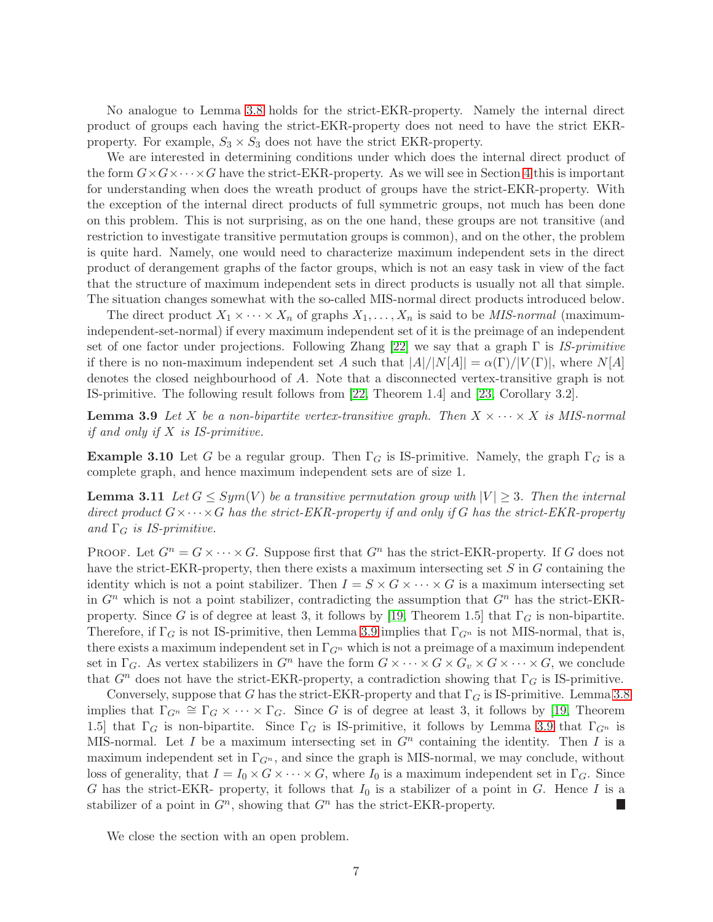No analogue to Lemma [3.8](#page-5-2) holds for the strict-EKR-property. Namely the internal direct product of groups each having the strict-EKR-property does not need to have the strict EKRproperty. For example,  $S_3 \times S_3$  does not have the strict EKR-property.

We are interested in determining conditions under which does the internal direct product of the form  $G \times G \times \cdots \times G$  have the strict-EKR-property. As we will see in Section [4](#page-7-0) this is important for understanding when does the wreath product of groups have the strict-EKR-property. With the exception of the internal direct products of full symmetric groups, not much has been done on this problem. This is not surprising, as on the one hand, these groups are not transitive (and restriction to investigate transitive permutation groups is common), and on the other, the problem is quite hard. Namely, one would need to characterize maximum independent sets in the direct product of derangement graphs of the factor groups, which is not an easy task in view of the fact that the structure of maximum independent sets in direct products is usually not all that simple. The situation changes somewhat with the so-called MIS-normal direct products introduced below.

The direct product  $X_1 \times \cdots \times X_n$  of graphs  $X_1, \ldots, X_n$  is said to be *MIS-normal* (maximumindependent-set-normal) if every maximum independent set of it is the preimage of an independent set of one factor under projections. Following Zhang [\[22\]](#page-12-18) we say that a graph  $\Gamma$  is IS-primitive if there is no non-maximum independent set A such that  $|A|/|N[A]| = \alpha(\Gamma)/|V(\Gamma)|$ , where  $N[A]$ denotes the closed neighbourhood of A. Note that a disconnected vertex-transitive graph is not IS-primitive. The following result follows from [\[22,](#page-12-18) Theorem 1.4] and [\[23,](#page-12-20) Corollary 3.2].

<span id="page-6-0"></span>**Lemma 3.9** Let X be a non-bipartite vertex-transitive graph. Then  $X \times \cdots \times X$  is MIS-normal if and only if  $X$  is IS-primitive.

**Example 3.10** Let G be a regular group. Then  $\Gamma_G$  is IS-primitive. Namely, the graph  $\Gamma_G$  is a complete graph, and hence maximum independent sets are of size 1.

<span id="page-6-1"></span>**Lemma 3.11** Let  $G \le Sym(V)$  be a transitive permutation group with  $|V| \ge 3$ . Then the internal direct product  $G \times \cdots \times G$  has the strict-EKR-property if and only if G has the strict-EKR-property and  $\Gamma_G$  is IS-primitive.

PROOF. Let  $G^n = G \times \cdots \times G$ . Suppose first that  $G^n$  has the strict-EKR-property. If G does not have the strict-EKR-property, then there exists a maximum intersecting set S in G containing the identity which is not a point stabilizer. Then  $I = S \times G \times \cdots \times G$  is a maximum intersecting set in  $G<sup>n</sup>$  which is not a point stabilizer, contradicting the assumption that  $G<sup>n</sup>$  has the strict-EKR-property. Since G is of degree at least 3, it follows by [\[19,](#page-12-14) Theorem 1.5] that  $\Gamma_G$  is non-bipartite. Therefore, if  $\Gamma_G$  is not IS-primitive, then Lemma [3.9](#page-6-0) implies that  $\Gamma_{G^n}$  is not MIS-normal, that is, there exists a maximum independent set in  $\Gamma_{G^n}$  which is not a preimage of a maximum independent set in  $\Gamma_G$ . As vertex stabilizers in  $G^n$  have the form  $G \times \cdots \times G \times G_v \times G \times \cdots \times G$ , we conclude that  $G<sup>n</sup>$  does not have the strict-EKR-property, a contradiction showing that  $\Gamma_G$  is IS-primitive.

Conversely, suppose that G has the strict-EKR-property and that  $\Gamma_G$  is IS-primitive. Lemma [3.8](#page-5-2) implies that  $\Gamma_{G^n} \cong \Gamma_G \times \cdots \times \Gamma_G$ . Since G is of degree at least 3, it follows by [\[19,](#page-12-14) Theorem 1.5] that  $\Gamma_G$  is non-bipartite. Since  $\Gamma_G$  is IS-primitive, it follows by Lemma [3.9](#page-6-0) that  $\Gamma_{G^n}$  is MIS-normal. Let I be a maximum intersecting set in  $G<sup>n</sup>$  containing the identity. Then I is a maximum independent set in  $\Gamma_{G^n}$ , and since the graph is MIS-normal, we may conclude, without loss of generality, that  $I = I_0 \times G \times \cdots \times G$ , where  $I_0$  is a maximum independent set in  $\Gamma_G$ . Since G has the strict-EKR- property, it follows that  $I_0$  is a stabilizer of a point in G. Hence I is a stabilizer of a point in  $G<sup>n</sup>$ , showing that  $G<sup>n</sup>$  has the strict-EKR-property. Г

We close the section with an open problem.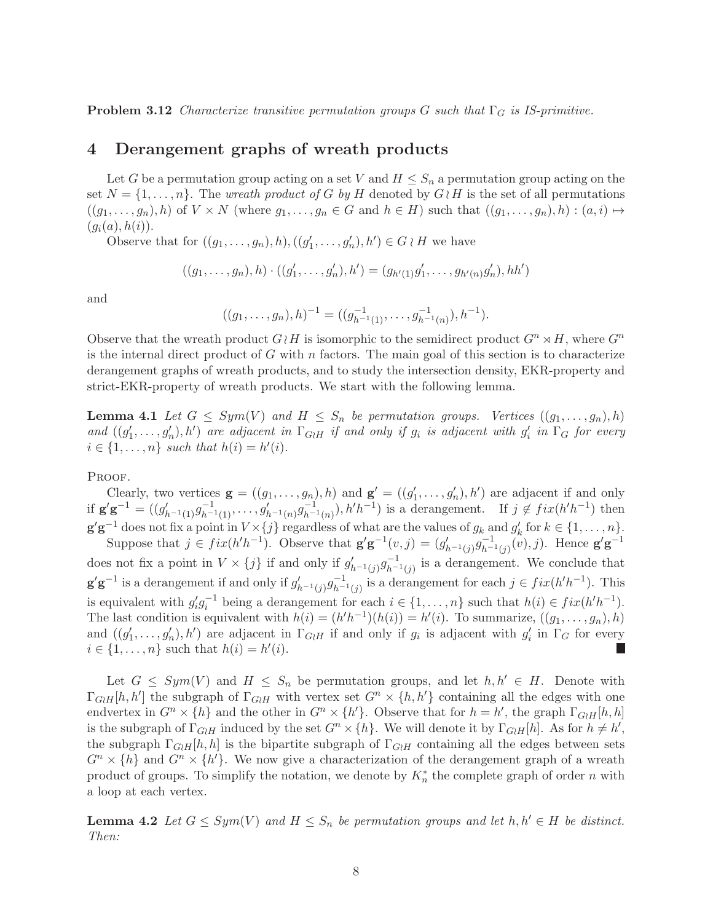<span id="page-7-0"></span>**Problem 3.12** Characterize transitive permutation groups G such that  $\Gamma_G$  is IS-primitive.

# 4 Derangement graphs of wreath products

Let G be a permutation group acting on a set V and  $H \leq S_n$  a permutation group acting on the set  $N = \{1, \ldots, n\}$ . The *wreath product of G by H* denoted by  $G \wr H$  is the set of all permutations  $((g_1, \ldots, g_n), h)$  of  $V \times N$  (where  $g_1, \ldots, g_n \in G$  and  $h \in H$ ) such that  $((g_1, \ldots, g_n), h) : (a, i) \mapsto$  $(g_i(a), h(i)).$ 

Observe that for  $((g_1, \ldots, g_n), h), ((g'_1, \ldots, g'_n), h') \in G \wr H$  we have

$$
((g_1, \ldots, g_n), h) \cdot ((g'_1, \ldots, g'_n), h') = (g_{h'(1)}g'_1, \ldots, g_{h'(n)}g'_n), hh')
$$

and

$$
((g_1,\ldots,g_n),h)^{-1} = ((g_{h^{-1}(1)}^{-1},\ldots,g_{h^{-1}(n)}^{-1}),h^{-1}).
$$

Observe that the wreath product  $G\wr H$  is isomorphic to the semidirect product  $G^n \rtimes H$ , where  $G^n$ is the internal direct product of G with n factors. The main goal of this section is to characterize derangement graphs of wreath products, and to study the intersection density, EKR-property and strict-EKR-property of wreath products. We start with the following lemma.

<span id="page-7-2"></span>**Lemma 4.1** Let  $G \le Sym(V)$  and  $H \le S_n$  be permutation groups. Vertices  $((g_1, \ldots, g_n), h)$ and  $((g'_1,\ldots,g'_n),h')$  are adjacent in  $\Gamma_{G\wr H}$  if and only if  $g_i$  is adjacent with  $g'_i$  in  $\Gamma_G$  for every  $i \in \{1, \ldots, n\}$  such that  $h(i) = h'(i)$ .

PROOF.

Clearly, two vertices  $\mathbf{g} = ((g_1, \ldots, g_n), h)$  and  $\mathbf{g}' = ((g'_1, \ldots, g'_n), h')$  are adjacent if and only if  $\mathbf{g}'\mathbf{g}^{-1} = ((g'_{h^{-1}(1)}g_{h^{-1}(1)}^{-1}, \ldots, g'_{h^{-1}(n)}g_{h^{-1}(n)}^{-1}), h'h^{-1})$  is a derangement. If  $j \notin fix(h'h^{-1})$  then  $\mathbf{g}'\mathbf{g}^{-1}$  does not fix a point in  $V \times \{j\}$  regardless of what are the values of  $g_k$  and  $g'_k$  for  $k \in \{1, \ldots, n\}$ .

Suppose that  $j \in fix(h'h^{-1})$ . Observe that  $\mathbf{g}'\mathbf{g}^{-1}(v,j) = (g'_{h^{-1}(j)}g_{h^{-1}(j)}^{-1}(v),j)$ . Hence  $\mathbf{g}'\mathbf{g}^{-1}$ does not fix a point in  $V \times \{j\}$  if and only if  $g'_{h^{-1}(j)} g_{h^{-1}(j)}^{-1}$  is a derangement. We conclude that  $g'g^{-1}$  is a derangement if and only if  $g'_{h^{-1}(j)}g_{h^{-1}(j)}^{-1}$  is a derangement for each  $j \in fix(h'h^{-1})$ . This is equivalent with  $g'_i g_i^{-1}$  being a derangement for each  $i \in \{1, ..., n\}$  such that  $h(i) \in fix(h'h^{-1})$ . The last condition is equivalent with  $h(i) = (h'h^{-1})(h(i)) = h'(i)$ . To summarize,  $((g_1, \ldots, g_n), h)$ and  $((g'_1, \ldots, g'_n), h')$  are adjacent in  $\Gamma_{G \nmid H}$  if and only if  $g_i$  is adjacent with  $g'_i$  in  $\Gamma_G$  for every  $i \in \{1, \ldots, n\}$  such that  $h(i) = h'(i)$ . L.

Let  $G \le Sym(V)$  and  $H \le S_n$  be permutation groups, and let  $h, h' \in H$ . Denote with  $\Gamma_{GH}[h,h']$  the subgraph of  $\Gamma_{GH}$  with vertex set  $G^n \times \{h,h'\}$  containing all the edges with one endvertex in  $G^n \times \{h\}$  and the other in  $G^n \times \{h'\}$ . Observe that for  $h = h'$ , the graph  $\Gamma_{G \wr H}[h, h]$ is the subgraph of  $\Gamma_{G\wr H}$  induced by the set  $G^n \times \{h\}$ . We will denote it by  $\Gamma_{G\wr H}[h]$ . As for  $h \neq h'$ , the subgraph  $\Gamma_{GH}[h, h]$  is the bipartite subgraph of  $\Gamma_{GH}$  containing all the edges between sets  $G^n \times \{h\}$  and  $G^n \times \{h'\}$ . We now give a characterization of the derangement graph of a wreath product of groups. To simplify the notation, we denote by  $K_n^*$  the complete graph of order n with a loop at each vertex.

<span id="page-7-1"></span>**Lemma 4.2** Let  $G \le Sym(V)$  and  $H \le S_n$  be permutation groups and let  $h, h' \in H$  be distinct. Then: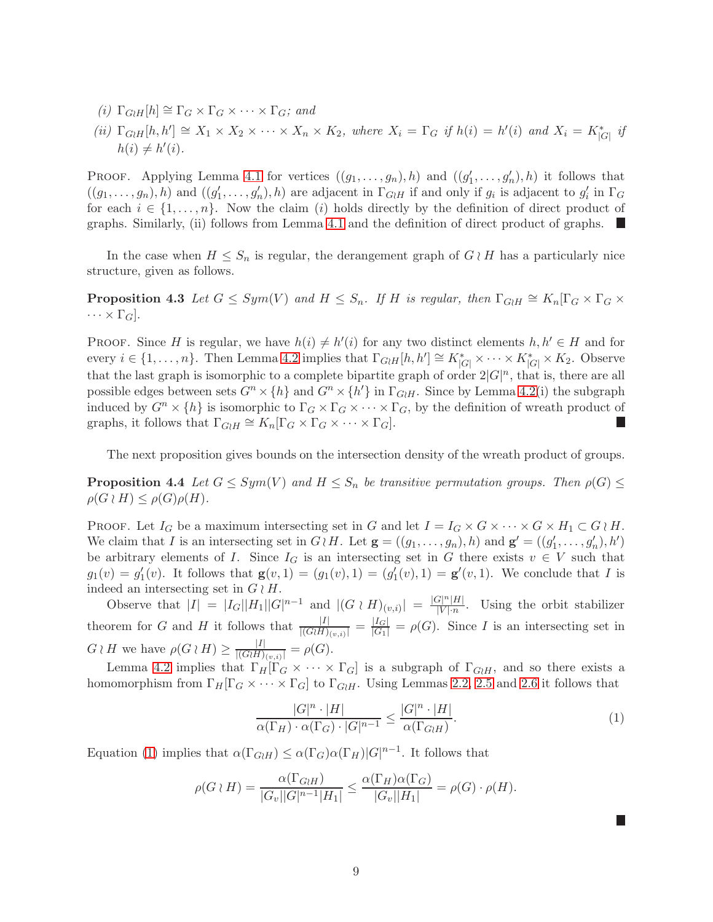- (i)  $\Gamma_{G}$ <sub>H</sub>[h]  $\cong \Gamma_G \times \Gamma_G \times \cdots \times \Gamma_G$ ; and
- (ii)  $\Gamma_{G \wr H}[h,h'] \cong X_1 \times X_2 \times \cdots \times X_n \times K_2$ , where  $X_i = \Gamma_G$  if  $h(i) = h'(i)$  and  $X_i = K_{|G|}^*$  if  $h(i) \neq h'(i)$ .

PROOF. Applying Lemma [4.1](#page-7-2) for vertices  $((g_1, \ldots, g_n), h)$  and  $((g'_1, \ldots, g'_n), h)$  it follows that  $((g_1,\ldots,g_n),h)$  and  $((g'_1,\ldots,g'_n),h)$  are adjacent in  $\Gamma_{G\wr H}$  if and only if  $g_i$  is adjacent to  $g'_i$  in  $\Gamma_G$ for each  $i \in \{1, \ldots, n\}$ . Now the claim (i) holds directly by the definition of direct product of graphs. Similarly, (ii) follows from Lemma [4.1](#page-7-2) and the definition of direct product of graphs.

<span id="page-8-0"></span>In the case when  $H \leq S_n$  is regular, the derangement graph of  $G \wr H$  has a particularly nice structure, given as follows.

**Proposition 4.3** Let  $G \le Sym(V)$  and  $H \le S_n$ . If H is regular, then  $\Gamma_{GH} \cong K_n[\Gamma_G \times \Gamma_G \times \Gamma_G]$  $\cdots \times \Gamma_G$ .

PROOF. Since H is regular, we have  $h(i) \neq h'(i)$  for any two distinct elements  $h, h' \in H$  and for every  $i \in \{1, \ldots, n\}$ . Then Lemma [4.2](#page-7-1) implies that  $\Gamma_{GH}[h, h'] \cong K^*_{|G|} \times \cdots \times K^*_{|G|} \times K_2$ . Observe that the last graph is isomorphic to a complete bipartite graph of order  $2|G|^n$ , that is, there are all possible edges between sets  $G^n \times \{h\}$  and  $G^n \times \{h'\}$  in  $\Gamma_{G \nmid H}$ . Since by Lemma [4.2\(](#page-7-1)i) the subgraph induced by  $G^n \times \{h\}$  is isomorphic to  $\Gamma_G \times \Gamma_G \times \cdots \times \Gamma_G$ , by the definition of wreath product of graphs, it follows that  $\Gamma_{G\wr H} \cong K_n[\Gamma_G \times \Gamma_G \times \cdots \times \Gamma_G].$ F.

<span id="page-8-1"></span>The next proposition gives bounds on the intersection density of the wreath product of groups.

**Proposition 4.4** Let  $G \le Sym(V)$  and  $H \le S_n$  be transitive permutation groups. Then  $\rho(G) \le$  $\rho(G \wr H) \leq \rho(G)\rho(H).$ 

PROOF. Let  $I_G$  be a maximum intersecting set in G and let  $I = I_G \times G \times \cdots \times G \times H_1 \subset G \wr H$ . We claim that I is an intersecting set in  $G \wr H$ . Let  $\mathbf{g} = ((g_1, \ldots, g_n), h)$  and  $\mathbf{g}' = ((g'_1, \ldots, g'_n), h')$ be arbitrary elements of I. Since  $I_G$  is an intersecting set in G there exists  $v \in V$  such that  $g_1(v) = g'_1(v)$ . It follows that  $\mathbf{g}(v,1) = (g_1(v), 1) = (g'_1(v), 1) = \mathbf{g}'(v,1)$ . We conclude that I is indeed an intersecting set in  $G \wr H$ .

Observe that  $|I| = |I_G||H_1||G|^{n-1}$  and  $|(G \nmid H)_{(v,i)}| = \frac{|G|^n|H|}{|V| \cdot n}$  $\frac{|\mathcal{F}| \cdot |\mathcal{H}|}{|V| \cdot n}$ . Using the orbit stabilizer theorem for G and H it follows that  $\frac{|I|}{|(G \wr H)_{(v,i)}|} = \frac{|I_G|}{|G_1|} = \rho(G)$ . Since I is an intersecting set in  $G \wr H$  we have  $\rho(G \wr H) \geq \frac{|I|}{|(G \wr H)}$  $\frac{|I|}{|(G \wr H)_{(v,i)}|} = \rho(G).$ 

Lemma [4.2](#page-7-1) implies that  $\Gamma_H[\Gamma_G \times \cdots \times \Gamma_G]$  is a subgraph of  $\Gamma_{G \nmid H}$ , and so there exists a homomorphism from  $\Gamma_H[\Gamma_G \times \cdots \times \Gamma_G]$  to  $\Gamma_{G \nmid H}$ . Using Lemmas [2.2,](#page-2-1) [2.5](#page-3-1) and [2.6](#page-3-3) it follows that

<span id="page-8-2"></span>
$$
\frac{|G|^n \cdot |H|}{\alpha(\Gamma_H) \cdot \alpha(\Gamma_G) \cdot |G|^{n-1}} \le \frac{|G|^n \cdot |H|}{\alpha(\Gamma_{GH})}.\tag{1}
$$

П

<span id="page-8-3"></span>Equation [\(1\)](#page-8-2) implies that  $\alpha(\Gamma_{GH}) \leq \alpha(\Gamma_G) \alpha(\Gamma_H) |G|^{n-1}$ . It follows that

$$
\rho(G \wr H) = \frac{\alpha(\Gamma_{G \wr H})}{|G_v||G|^{n-1}|H_1|} \le \frac{\alpha(\Gamma_H)\alpha(\Gamma_G)}{|G_v||H_1|} = \rho(G) \cdot \rho(H).
$$

9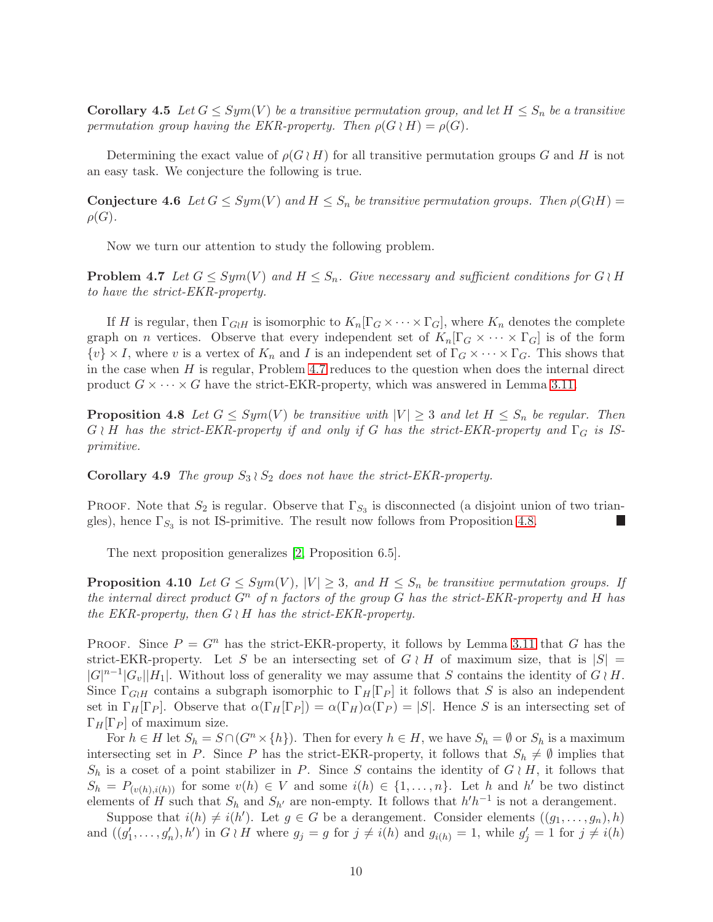**Corollary 4.5** Let  $G \le Sym(V)$  be a transitive permutation group, and let  $H \le S_n$  be a transitive permutation group having the EKR-property. Then  $\rho(G \wr H) = \rho(G)$ .

Determining the exact value of  $\rho(G \nmid H)$  for all transitive permutation groups G and H is not an easy task. We conjecture the following is true.

**Conjecture 4.6** Let  $G \le Sym(V)$  and  $H \le S_n$  be transitive permutation groups. Then  $\rho(G \wr H) =$  $\rho(G)$ .

<span id="page-9-2"></span>Now we turn our attention to study the following problem.

**Problem 4.7** Let  $G \le Sym(V)$  and  $H \le S_n$ . Give necessary and sufficient conditions for  $G \nmid H$ to have the strict-EKR-property.

If H is regular, then  $\Gamma_{G\wr H}$  is isomorphic to  $K_n[\Gamma_G\times\cdots\times\Gamma_G]$ , where  $K_n$  denotes the complete graph on *n* vertices. Observe that every independent set of  $K_n[\Gamma_G \times \cdots \times \Gamma_G]$  is of the form  $\{v\}\times I$ , where v is a vertex of  $K_n$  and I is an independent set of  $\Gamma_G\times\cdots\times\Gamma_G$ . This shows that in the case when  $H$  is regular, Problem [4.7](#page-9-2) reduces to the question when does the internal direct product  $G \times \cdots \times G$  have the strict-EKR-property, which was answered in Lemma [3.11.](#page-6-1)

<span id="page-9-1"></span>**Proposition 4.8** Let  $G \le Sym(V)$  be transitive with  $|V| \ge 3$  and let  $H \le S_n$  be regular. Then  $G \wr H$  has the strict-EKR-property if and only if G has the strict-EKR-property and  $\Gamma_G$  is ISprimitive.

<span id="page-9-3"></span>**Corollary 4.9** The group  $S_3 \wr S_2$  does not have the strict-EKR-property.

PROOF. Note that  $S_2$  is regular. Observe that  $\Gamma_{S_3}$  is disconnected (a disjoint union of two triangles), hence  $\Gamma_{S_3}$  is not IS-primitive. The result now follows from Proposition [4.8.](#page-9-1)

<span id="page-9-0"></span>The next proposition generalizes [\[2,](#page-12-15) Proposition 6.5].

**Proposition 4.10** Let  $G \le Sym(V)$ ,  $|V| \ge 3$ , and  $H \le S_n$  be transitive permutation groups. If the internal direct product  $G^n$  of n factors of the group G has the strict-EKR-property and H has the EKR-property, then  $G \wr H$  has the strict-EKR-property.

PROOF. Since  $P = G<sup>n</sup>$  has the strict-EKR-property, it follows by Lemma [3.11](#page-6-1) that G has the strict-EKR-property. Let S be an intersecting set of  $G \wr H$  of maximum size, that is  $|S| =$  $|G|^{n-1}|G_v||H_1|$ . Without loss of generality we may assume that S contains the identity of  $G \wr H$ . Since  $\Gamma_{G\wr H}$  contains a subgraph isomorphic to  $\Gamma_H[\Gamma_P]$  it follows that S is also an independent set in  $\Gamma_H[\Gamma_P]$ . Observe that  $\alpha(\Gamma_H[\Gamma_P]) = \alpha(\Gamma_H)\alpha(\Gamma_P) = |S|$ . Hence S is an intersecting set of  $\Gamma_H[\Gamma_P]$  of maximum size.

For  $h \in H$  let  $S_h = S \cap (G^n \times \{h\})$ . Then for every  $h \in H$ , we have  $S_h = \emptyset$  or  $S_h$  is a maximum intersecting set in P. Since P has the strict-EKR-property, it follows that  $S_h \neq \emptyset$  implies that  $S_h$  is a coset of a point stabilizer in P. Since S contains the identity of  $G \nmid H$ , it follows that  $S_h = P_{(v(h), i(h))}$  for some  $v(h) \in V$  and some  $i(h) \in \{1, \ldots, n\}$ . Let h and h' be two distinct elements of H such that  $S_h$  and  $S_{h'}$  are non-empty. It follows that  $h'h^{-1}$  is not a derangement.

Suppose that  $i(h) \neq i(h')$ . Let  $g \in G$  be a derangement. Consider elements  $((g_1, \ldots, g_n), h)$ and  $((g'_1, \ldots, g'_n), h')$  in  $G \nmid H$  where  $g_j = g$  for  $j \neq i(h)$  and  $g_{i(h)} = 1$ , while  $g'_j = 1$  for  $j \neq i(h)$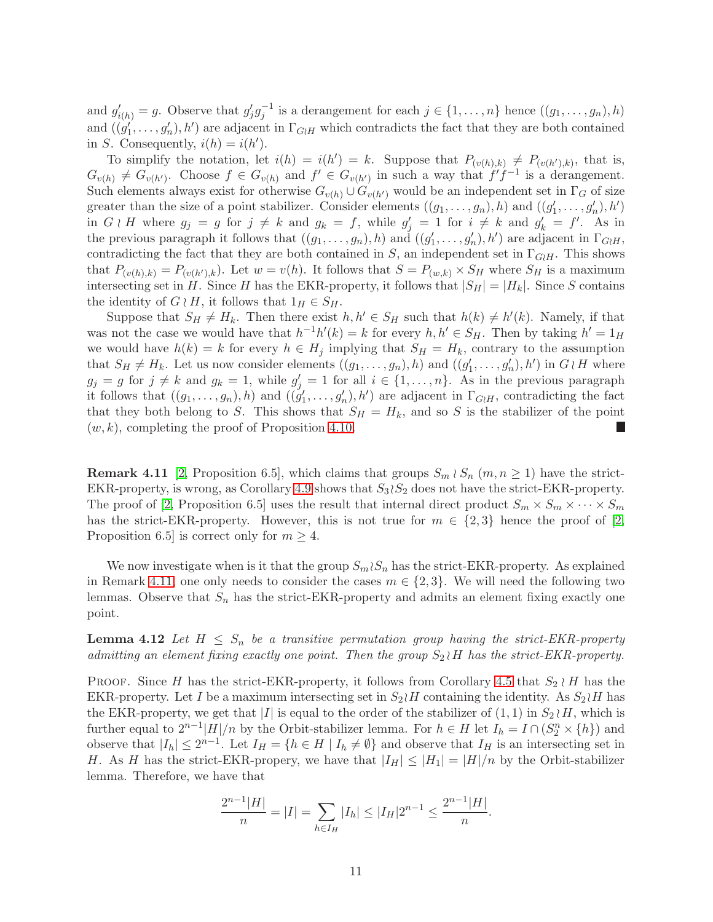and  $g'_{i(h)} = g$ . Observe that  $g'_j g_j^{-1}$  is a derangement for each  $j \in \{1, ..., n\}$  hence  $((g_1, ..., g_n), h)$ and  $((g'_1, \ldots, g'_n), h')$  are adjacent in  $\Gamma_{G \wr H}$  which contradicts the fact that they are both contained in S. Consequently,  $i(h) = i(h')$ .

To simplify the notation, let  $i(h) = i(h') = k$ . Suppose that  $P_{(v(h),k)} \neq P_{(v(h'),k)}$ , that is,  $G_{v(h)} \neq G_{v(h')}$ . Choose  $f \in G_{v(h)}$  and  $f' \in G_{v(h')}$  in such a way that  $f'f^{-1}$  is a derangement. Such elements always exist for otherwise  $G_{v(h)} \cup G_{v(h')}$  would be an independent set in  $\Gamma_G$  of size greater than the size of a point stabilizer. Consider elements  $((g_1, \ldots, g_n), h)$  and  $((g'_1, \ldots, g'_n), h')$ in  $G \wr H$  where  $g_j = g$  for  $j \neq k$  and  $g_k = f$ , while  $g'_j = 1$  for  $i \neq k$  and  $g'_k = f'$ . As in the previous paragraph it follows that  $((g_1, \ldots, g_n), h)$  and  $((g'_1, \ldots, g'_n), h')$  are adjacent in  $\Gamma_{G \wr H}$ , contradicting the fact that they are both contained in S, an independent set in  $\Gamma_{G\wr H}$ . This shows that  $P_{(v(h),k)} = P_{(v(h'),k)}$ . Let  $w = v(h)$ . It follows that  $S = P_{(w,k)} \times S_H$  where  $S_H$  is a maximum intersecting set in H. Since H has the EKR-property, it follows that  $|S_H| = |H_k|$ . Since S contains the identity of  $G \wr H$ , it follows that  $1_H \in S_H$ .

Suppose that  $S_H \neq H_k$ . Then there exist  $h, h' \in S_H$  such that  $h(k) \neq h'(k)$ . Namely, if that was not the case we would have that  $h^{-1}h'(k) = k$  for every  $h, h' \in S_H$ . Then by taking  $h' = 1_H$ we would have  $h(k) = k$  for every  $h \in H_j$  implying that  $S_H = H_k$ , contrary to the assumption that  $S_H \neq H_k$ . Let us now consider elements  $((g_1, \ldots, g_n), h)$  and  $((g'_1, \ldots, g'_n), h')$  in  $G \nmid H$  where  $g_j = g$  for  $j \neq k$  and  $g_k = 1$ , while  $g'_j = 1$  for all  $i \in \{1, ..., n\}$ . As in the previous paragraph it follows that  $((g_1, \ldots, g_n), h)$  and  $((g'_1, \ldots, g'_n), h')$  are adjacent in  $\Gamma_{G \nmid H}$ , contradicting the fact that they both belong to S. This shows that  $S_H = H_k$ , and so S is the stabilizer of the point  $(w, k)$ , completing the proof of Proposition [4.10.](#page-9-0) L.

<span id="page-10-0"></span>**Remark 4.11** [\[2,](#page-12-15) Proposition 6.5], which claims that groups  $S_m \wr S_n$  ( $m, n \geq 1$ ) have the strict-EKR-property, is wrong, as Corollary [4.9](#page-9-3) shows that  $S_3 \wr S_2$  does not have the strict-EKR-property. The proof of [\[2,](#page-12-15) Proposition 6.5] uses the result that internal direct product  $S_m \times S_m \times \cdots \times S_m$ has the strict-EKR-property. However, this is not true for  $m \in \{2,3\}$  hence the proof of [\[2,](#page-12-15) Proposition 6.5] is correct only for  $m \geq 4$ .

We now investigate when is it that the group  $S_m \wr S_n$  has the strict-EKR-property. As explained in Remark [4.11,](#page-10-0) one only needs to consider the cases  $m \in \{2,3\}$ . We will need the following two lemmas. Observe that  $S_n$  has the strict-EKR-property and admits an element fixing exactly one point.

<span id="page-10-1"></span>**Lemma 4.12** Let  $H \leq S_n$  be a transitive permutation group having the strict-EKR-property admitting an element fixing exactly one point. Then the group  $S_2 \nmid H$  has the strict-EKR-property.

PROOF. Since H has the strict-EKR-property, it follows from Corollary [4.5](#page-8-3) that  $S_2 \nmid H$  has the EKR-property. Let I be a maximum intersecting set in  $S_2 \wr H$  containing the identity. As  $S_2 \wr H$  has the EKR-property, we get that |I| is equal to the order of the stabilizer of  $(1, 1)$  in  $S_2 \wr H$ , which is further equal to  $2^{n-1}|H|/n$  by the Orbit-stabilizer lemma. For  $h \in H$  let  $I_h = I \cap (S_2^n \times \{h\})$  and observe that  $|I_h| \leq 2^{n-1}$ . Let  $I_H = \{h \in H \mid I_h \neq \emptyset\}$  and observe that  $I_H$  is an intersecting set in H. As H has the strict-EKR-propery, we have that  $|I_H| \leq |H_1| = |H|/n$  by the Orbit-stabilizer lemma. Therefore, we have that

$$
\frac{2^{n-1}|H|}{n} = |I| = \sum_{h \in I_H} |I_h| \le |I_H| 2^{n-1} \le \frac{2^{n-1}|H|}{n}.
$$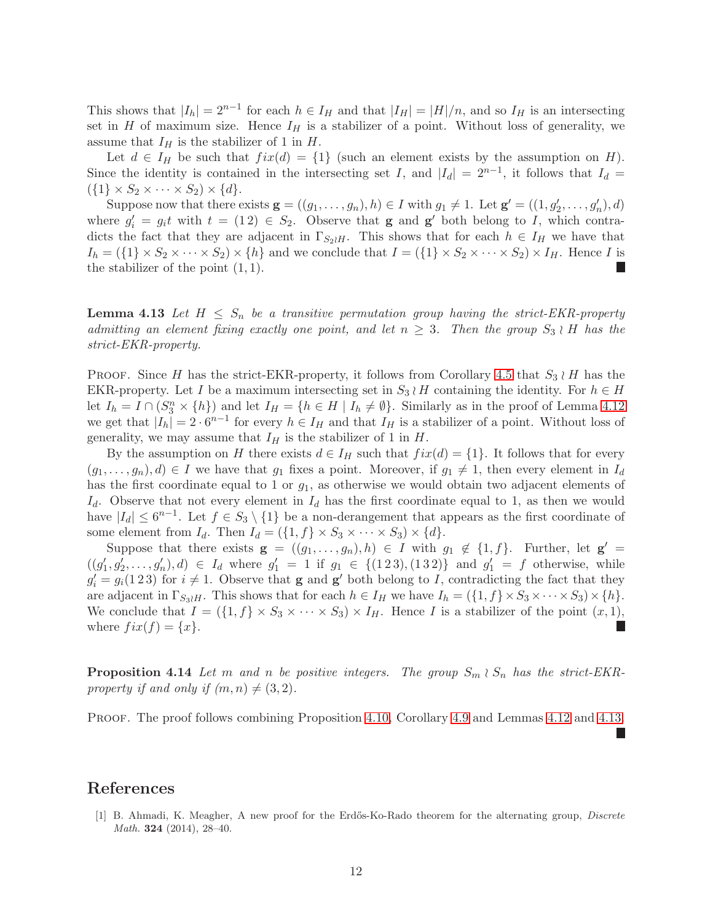This shows that  $|I_h| = 2^{n-1}$  for each  $h \in I_H$  and that  $|I_H| = |H|/n$ , and so  $I_H$  is an intersecting set in H of maximum size. Hence  $I_H$  is a stabilizer of a point. Without loss of generality, we assume that  $I_H$  is the stabilizer of 1 in H.

Let  $d \in I_H$  be such that  $fix(d) = \{1\}$  (such an element exists by the assumption on H). Since the identity is contained in the intersecting set I, and  $|I_d| = 2^{n-1}$ , it follows that  $I_d =$  $({1} \times S_2 \times \cdots \times S_2) \times {d}.$ 

Suppose now that there exists  $\mathbf{g} = ((g_1, \ldots, g_n), h) \in I$  with  $g_1 \neq 1$ . Let  $\mathbf{g}' = ((1, g'_2, \ldots, g'_n), d)$ where  $g'_i = g_i t$  with  $t = (1\,2) \in S_2$ . Observe that **g** and **g'** both belong to I, which contradicts the fact that they are adjacent in  $\Gamma_{S_2\wr H}$ . This shows that for each  $h \in I_H$  we have that  $I_h = (\{1\} \times S_2 \times \cdots \times S_2) \times \{h\}$  and we conclude that  $I = (\{1\} \times S_2 \times \cdots \times S_2) \times I_H$ . Hence I is the stabilizer of the point  $(1, 1)$ . L

<span id="page-11-1"></span>**Lemma 4.13** Let  $H \leq S_n$  be a transitive permutation group having the strict-EKR-property admitting an element fixing exactly one point, and let  $n \geq 3$ . Then the group  $S_3 \nmid H$  has the strict-EKR-property.

PROOF. Since H has the strict-EKR-property, it follows from Corollary [4.5](#page-8-3) that  $S_3 \wr H$  has the EKR-property. Let I be a maximum intersecting set in  $S_3 \nmid H$  containing the identity. For  $h \in H$ let  $I_h = I \cap (S_3^n \times \{h\})$  and let  $I_H = \{h \in H \mid I_h \neq \emptyset\}$ . Similarly as in the proof of Lemma [4.12](#page-10-1) we get that  $|I_h| = 2 \cdot 6^{n-1}$  for every  $h \in I_H$  and that  $I_H$  is a stabilizer of a point. Without loss of generality, we may assume that  $I_H$  is the stabilizer of 1 in  $H$ .

By the assumption on H there exists  $d \in I_H$  such that  $fix(d) = \{1\}$ . It follows that for every  $(g_1, \ldots, g_n), d) \in I$  we have that  $g_1$  fixes a point. Moreover, if  $g_1 \neq 1$ , then every element in  $I_d$ has the first coordinate equal to 1 or  $g_1$ , as otherwise we would obtain two adjacent elements of  $I_d$ . Observe that not every element in  $I_d$  has the first coordinate equal to 1, as then we would have  $|I_d| \leq 6^{n-1}$ . Let  $f \in S_3 \setminus \{1\}$  be a non-derangement that appears as the first coordinate of some element from  $I_d$ . Then  $I_d = (\{1, f\} \times S_3 \times \cdots \times S_3) \times \{d\}.$ 

Suppose that there exists  $\mathbf{g} = ((g_1, \ldots, g_n), h) \in I$  with  $g_1 \notin \{1, f\}$ . Further, let  $\mathbf{g}' =$  $((g'_1, g'_2, \ldots, g'_n), d) \in I_d$  where  $g'_1 = 1$  if  $g_1 \in \{(1\,2\,3), (1\,3\,2)\}\$  and  $g'_1 = f$  otherwise, while  $g_i' = g_i(1\,2\,3)$  for  $i \neq 1$ . Observe that **g** and **g**' both belong to I, contradicting the fact that they are adjacent in  $\Gamma_{S_3 \wr H}$ . This shows that for each  $h \in I_H$  we have  $I_h = (\{1, f\} \times S_3 \times \cdots \times S_3) \times \{h\}.$ We conclude that  $I = (\{1, f\} \times S_3 \times \cdots \times S_3) \times I_H$ . Hence I is a stabilizer of the point  $(x, 1)$ , where  $fix(f) = \{x\}.$ L.

**Proposition 4.14** Let m and n be positive integers. The group  $S_m \wr S_n$  has the strict-EKRproperty if and only if  $(m, n) \neq (3, 2)$ .

PROOF. The proof follows combining Proposition [4.10,](#page-9-0) Corollary [4.9](#page-9-3) and Lemmas [4.12](#page-10-1) and [4.13.](#page-11-1)

# <span id="page-11-0"></span>References

[1] B. Ahmadi, K. Meagher, A new proof for the Erdős-Ko-Rado theorem for the alternating group, *Discrete Math.* **324** (2014), 28-40.